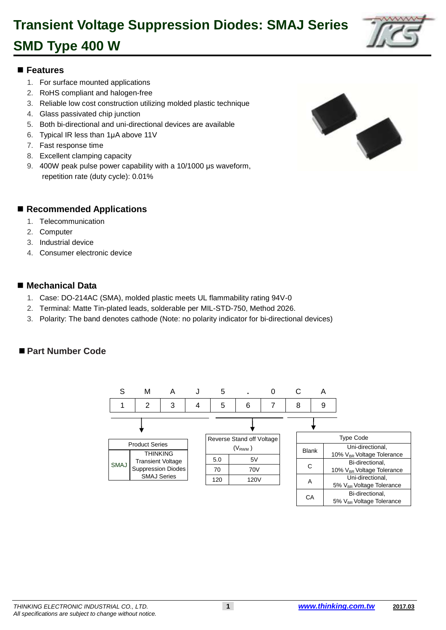

### 1 **Features**

- 1. For surface mounted applications
- 2. RoHS compliant and halogen-free
- 4 3. Reliable low cost construction utilizing molded plastic technique
- 4. Glass passivated chip junction
- 6 5. Both bi-directional and uni-directional devices are available
- 7 6. Typical IR less than 1μA above 11V
- 7. Fast response time
- 8. Excellent clamping capacity
- 10 9. 400W peak pulse power capability with a 10/1000 μs waveform, repetition rate (duty cycle): 0.01%

#### ■ Recommended Applications

- 1. Telecommunication
- 2. Computer
- 3. Industrial device
- 4. Consumer electronic device

#### ■ Mechanical Data

- 22 1. Case: DO-214AC (SMA), molded plastic meets UL flammability rating 94V-0
- 23 2. Terminal: Matte Tin-plated leads, solderable per MIL-STD-750, Method 2026.
- 24 3. Polarity: The band denotes cathode (Note: no polarity indicator for bi-directional devices)

#### ■ Part Number Code



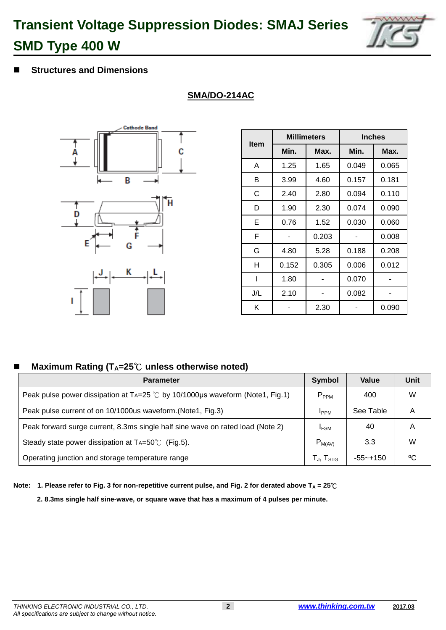

### 44 **Structures and Dimensions**

**SMA/DO-214AC**



|             |       | <b>Millimeters</b> | <b>Inches</b> |       |  |
|-------------|-------|--------------------|---------------|-------|--|
| <b>Item</b> | Min.  | Max.               | Min.          | Max.  |  |
| A           | 1.25  | 1.65               | 0.049         | 0.065 |  |
| В           | 3.99  | 4.60               | 0.157         | 0.181 |  |
| С           | 2.40  | 2.80               | 0.094         | 0.110 |  |
| D           | 1.90  | 2.30               | 0.074         | 0.090 |  |
| Е           | 0.76  | 1.52               | 0.030         | 0.060 |  |
| F           |       | 0.203              |               | 0.008 |  |
| G           | 4.80  | 5.28               | 0.188         | 0.208 |  |
| н           | 0.152 | 0.305              | 0.006         | 0.012 |  |
|             | 1.80  |                    | 0.070         |       |  |
| J/L         | 2.10  |                    | 0.082         |       |  |
| Κ           |       | 2.30               |               | 0.090 |  |

### 66 **Maximum Rating (TA=25**℃ **unless otherwise noted)**

| <b>Parameter</b>                                                                       | <b>Symbol</b>       | Value     | Unit |
|----------------------------------------------------------------------------------------|---------------------|-----------|------|
| Peak pulse power dissipation at TA=25 $\degree$ C by 10/1000µs waveform (Note1, Fig.1) | $P_{PPM}$           | 400       | W    |
| Peak pulse current of on 10/1000us waveform. (Note1, Fig.3)                            | <b>I</b> PPM        | See Table |      |
| Peak forward surge current, 8.3ms single half sine wave on rated load (Note 2)         | <b>IFSM</b>         | 40        | A    |
| Steady state power dissipation at $Ta=50^{\circ}$ (Fig.5).                             | $P_{M(AV)}$         | 3.3       | w    |
| Operating junction and storage temperature range                                       | $T_{J}$ , $T_{STG}$ | -55~+150  | °C   |

68 **Note: 1. Please refer to Fig. 3 for non-repetitive current pulse, and Fig. 2 for derated above T<sup>A</sup> = 25**℃

69 **2. 8.3ms single half sine-wave, or square wave that has a maximum of 4 pulses per minute.**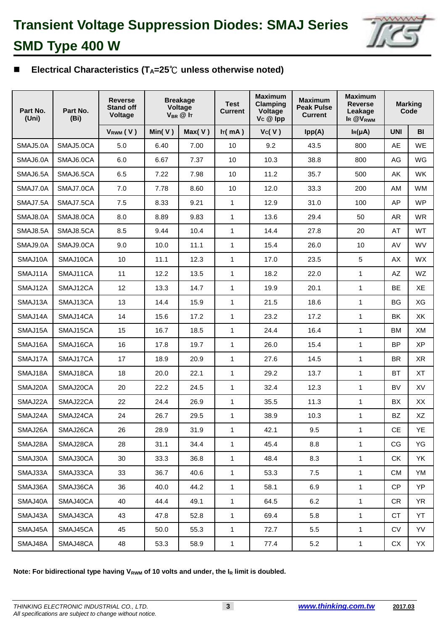

## 77 **Electrical Characteristics (TA=25**℃ **unless otherwise noted)**

| Part No.<br>(Uni) | Part No.<br>(Bi) | <b>Reverse</b><br><b>Stand off</b><br>Voltage | <b>Breakage</b><br>Voltage<br>$V_{BR}$ @ It |        | <b>Maximum</b><br><b>Test</b><br><b>Clamping</b><br><b>Current</b><br>Voltage<br>Vc @ lpp |       | <b>Maximum</b><br><b>Peak Pulse</b><br><b>Current</b> | <b>Maximum</b><br><b>Reverse</b><br>Leakage<br>IR @V <sub>RWM</sub> | <b>Marking</b><br>Code |           |
|-------------------|------------------|-----------------------------------------------|---------------------------------------------|--------|-------------------------------------------------------------------------------------------|-------|-------------------------------------------------------|---------------------------------------------------------------------|------------------------|-----------|
|                   |                  | $V_{RWM}$ (V)                                 | Min( $V$ )                                  | Max(V) | Ir(mA)                                                                                    | Vc(V) | Ipp(A)                                                | $I_R(\mu A)$                                                        | <b>UNI</b>             | BI        |
| SMAJ5.0A          | SMAJ5.0CA        | 5.0                                           | 6.40                                        | 7.00   | 10                                                                                        | 9.2   | 43.5                                                  | 800                                                                 | AE                     | <b>WE</b> |
| SMAJ6.0A          | SMAJ6.0CA        | 6.0                                           | 6.67                                        | 7.37   | 10                                                                                        | 10.3  | 38.8                                                  | 800                                                                 | AG                     | WG        |
| SMAJ6.5A          | SMAJ6.5CA        | 6.5                                           | 7.22                                        | 7.98   | 10                                                                                        | 11.2  | 35.7                                                  | 500                                                                 | AK                     | <b>WK</b> |
| SMAJ7.0A          | SMAJ7.0CA        | 7.0                                           | 7.78                                        | 8.60   | 10                                                                                        | 12.0  | 33.3                                                  | 200                                                                 | AM                     | <b>WM</b> |
| SMAJ7.5A          | SMAJ7.5CA        | 7.5                                           | 8.33                                        | 9.21   | $\mathbf{1}$                                                                              | 12.9  | 31.0                                                  | 100                                                                 | AP                     | <b>WP</b> |
| SMAJ8.0A          | SMAJ8.0CA        | 8.0                                           | 8.89                                        | 9.83   | $\mathbf{1}$                                                                              | 13.6  | 29.4                                                  | 50                                                                  | AR                     | <b>WR</b> |
| SMAJ8.5A          | SMAJ8.5CA        | 8.5                                           | 9.44                                        | 10.4   | $\mathbf{1}$                                                                              | 14.4  | 27.8                                                  | 20                                                                  | AT                     | WT        |
| SMAJ9.0A          | SMAJ9.0CA        | 9.0                                           | 10.0                                        | 11.1   | $\mathbf{1}$                                                                              | 15.4  | 26.0                                                  | 10                                                                  | AV                     | WV        |
| SMAJ10A           | SMAJ10CA         | 10                                            | 11.1                                        | 12.3   | $\mathbf{1}$                                                                              | 17.0  | 23.5                                                  | 5                                                                   | AX                     | <b>WX</b> |
| SMAJ11A           | SMAJ11CA         | 11                                            | 12.2                                        | 13.5   | $\mathbf{1}$                                                                              | 18.2  | 22.0                                                  | $\mathbf{1}$                                                        | AZ                     | WZ        |
| SMAJ12A           | SMAJ12CA         | 12                                            | 13.3                                        | 14.7   | $\mathbf{1}$                                                                              | 19.9  | 20.1                                                  | 1                                                                   | <b>BE</b>              | XE        |
| SMAJ13A           | SMAJ13CA         | 13                                            | 14.4                                        | 15.9   | $\mathbf{1}$                                                                              | 21.5  | 18.6                                                  | 1                                                                   | <b>BG</b>              | XG        |
| SMAJ14A           | SMAJ14CA         | 14                                            | 15.6                                        | 17.2   | $\mathbf{1}$                                                                              | 23.2  | 17.2                                                  | $\mathbf{1}$                                                        | BK                     | XK        |
| SMAJ15A           | SMAJ15CA         | 15                                            | 16.7                                        | 18.5   | $\mathbf{1}$                                                                              | 24.4  | 16.4                                                  | $\mathbf{1}$                                                        | <b>BM</b>              | XM        |
| SMAJ16A           | SMAJ16CA         | 16                                            | 17.8                                        | 19.7   | $\mathbf{1}$                                                                              | 26.0  | 15.4                                                  | $\mathbf{1}$                                                        | <b>BP</b>              | <b>XP</b> |
| SMAJ17A           | SMAJ17CA         | 17                                            | 18.9                                        | 20.9   | $\mathbf{1}$                                                                              | 27.6  | 14.5                                                  | $\mathbf{1}$                                                        | <b>BR</b>              | XR        |
| SMAJ18A           | SMAJ18CA         | 18                                            | 20.0                                        | 22.1   | 1                                                                                         | 29.2  | 13.7                                                  | 1                                                                   | BT                     | XT        |
| SMAJ20A           | SMAJ20CA         | 20                                            | 22.2                                        | 24.5   | $\mathbf{1}$                                                                              | 32.4  | 12.3                                                  | $\mathbf{1}$                                                        | BV                     | XV        |
| SMAJ22A           | SMAJ22CA         | 22                                            | 24.4                                        | 26.9   | $\mathbf{1}$                                                                              | 35.5  | 11.3                                                  | 1                                                                   | BX                     | XX        |
| SMAJ24A           | SMAJ24CA         | 24                                            | 26.7                                        | 29.5   | 1                                                                                         | 38.9  | 10.3                                                  | 1                                                                   | <b>BZ</b>              | XZ        |
| SMAJ26A           | SMAJ26CA         | 26                                            | 28.9                                        | 31.9   | 1                                                                                         | 42.1  | 9.5                                                   | 1                                                                   | CE                     | YE        |
| SMAJ28A           | SMAJ28CA         | 28                                            | 31.1                                        | 34.4   | $\mathbf{1}$                                                                              | 45.4  | 8.8                                                   | $\mathbf{1}$                                                        | CG                     | YG        |
| SMAJ30A           | SMAJ30CA         | 30                                            | 33.3                                        | 36.8   | $\mathbf{1}$                                                                              | 48.4  | 8.3                                                   | $\mathbf{1}$                                                        | <b>CK</b>              | YK        |
| SMAJ33A           | SMAJ33CA         | 33                                            | 36.7                                        | 40.6   | $\mathbf{1}$                                                                              | 53.3  | 7.5                                                   | $\mathbf{1}$                                                        | <b>CM</b>              | YM        |
| SMAJ36A           | SMAJ36CA         | 36                                            | 40.0                                        | 44.2   | $\mathbf{1}$                                                                              | 58.1  | 6.9                                                   | $\mathbf{1}$                                                        | CP                     | YP        |
| SMAJ40A           | SMAJ40CA         | 40                                            | 44.4                                        | 49.1   | $\mathbf{1}$                                                                              | 64.5  | 6.2                                                   | $\mathbf{1}$                                                        | <b>CR</b>              | <b>YR</b> |
| SMAJ43A           | SMAJ43CA         | 43                                            | 47.8                                        | 52.8   | $\mathbf{1}$                                                                              | 69.4  | 5.8                                                   | $\mathbf{1}$                                                        | CT                     | YT        |
| SMAJ45A           | SMAJ45CA         | 45                                            | 50.0                                        | 55.3   | $\mathbf{1}$                                                                              | 72.7  | 5.5                                                   | $\mathbf{1}$                                                        | CV                     | YV        |
| SMAJ48A           | SMAJ48CA         | 48                                            | 53.3                                        | 58.9   | 1                                                                                         | 77.4  | 5.2                                                   | $\mathbf{1}$                                                        | СX                     | YX        |

Note: For bidirectional type having V<sub>RWM</sub> of 10 volts and under, the I<sub>R</sub> limit is doubled.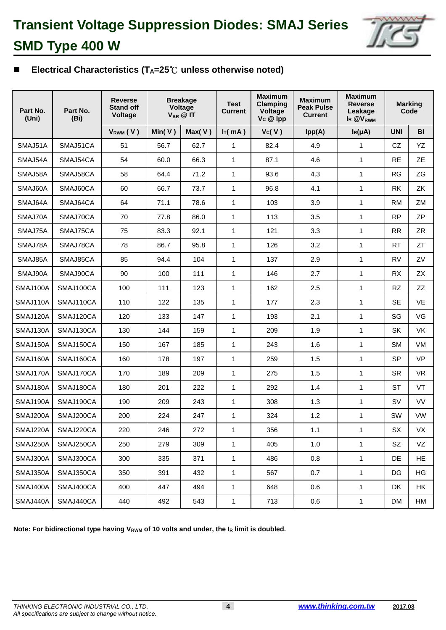

## 82 **Electrical Characteristics (TA=25**℃ **unless otherwise noted)**

| Part No.<br>(Uni) | Part No.<br>(Bi) | <b>Breakage</b><br><b>Reverse</b><br><b>Stand off</b><br>Voltage<br>$V_{BR}$ @ IT<br>Voltage |        |        | <b>Test</b><br><b>Current</b> |       | <b>Maximum</b><br><b>Peak Pulse</b><br><b>Current</b> | <b>Maximum</b><br><b>Reverse</b><br>Leakage<br>IR @V <sub>RWM</sub> | <b>Marking</b><br>Code |           |
|-------------------|------------------|----------------------------------------------------------------------------------------------|--------|--------|-------------------------------|-------|-------------------------------------------------------|---------------------------------------------------------------------|------------------------|-----------|
|                   |                  | $V_{RWM}$ (V)                                                                                | Min(V) | Max(V) | Ir(mA)                        | Vc(V) | Ipp(A)                                                | $I_R(\mu A)$                                                        | <b>UNI</b>             | <b>BI</b> |
| SMAJ51A           | SMAJ51CA         | 51                                                                                           | 56.7   | 62.7   | 1                             | 82.4  | 4.9                                                   | 1                                                                   | CZ                     | YZ        |
| SMAJ54A           | SMAJ54CA         | 54                                                                                           | 60.0   | 66.3   | 1                             | 87.1  | 4.6                                                   | 1                                                                   | <b>RE</b>              | <b>ZE</b> |
| SMAJ58A           | SMAJ58CA         | 58                                                                                           | 64.4   | 71.2   | 1                             | 93.6  | 4.3                                                   | 1                                                                   | <b>RG</b>              | ZG        |
| SMAJ60A           | SMAJ60CA         | 60                                                                                           | 66.7   | 73.7   | 1                             | 96.8  | 4.1                                                   | 1                                                                   | <b>RK</b>              | ZK        |
| SMAJ64A           | SMAJ64CA         | 64                                                                                           | 71.1   | 78.6   | 1                             | 103   | 3.9                                                   | 1                                                                   | <b>RM</b>              | ZM        |
| SMAJ70A           | SMAJ70CA         | 70                                                                                           | 77.8   | 86.0   | 1                             | 113   | 3.5                                                   | $\mathbf{1}$                                                        | <b>RP</b>              | <b>ZP</b> |
| SMAJ75A           | SMAJ75CA         | 75                                                                                           | 83.3   | 92.1   | $\mathbf{1}$                  | 121   | 3.3                                                   | 1                                                                   | <b>RR</b>              | ZR        |
| SMAJ78A           | SMAJ78CA         | 78                                                                                           | 86.7   | 95.8   | 1                             | 126   | 3.2                                                   | 1                                                                   | <b>RT</b>              | <b>ZT</b> |
| SMAJ85A           | SMAJ85CA         | 85                                                                                           | 94.4   | 104    | 1                             | 137   | 2.9                                                   | 1                                                                   | <b>RV</b>              | ZV        |
| SMAJ90A           | SMAJ90CA         | 90                                                                                           | 100    | 111    | 1                             | 146   | 2.7                                                   | 1                                                                   | <b>RX</b>              | <b>ZX</b> |
| SMAJ100A          | SMAJ100CA        | 100                                                                                          | 111    | 123    | 1                             | 162   | 2.5                                                   | 1                                                                   | <b>RZ</b>              | ZZ        |
| SMAJ110A          | SMAJ110CA        | 110                                                                                          | 122    | 135    | $\mathbf{1}$                  | 177   | 2.3                                                   | 1                                                                   | <b>SE</b>              | VE        |
| SMAJ120A          | SMAJ120CA        | 120                                                                                          | 133    | 147    | 1                             | 193   | 2.1                                                   | 1                                                                   | SG                     | VG        |
| SMAJ130A          | SMAJ130CA        | 130                                                                                          | 144    | 159    | 1                             | 209   | 1.9                                                   | 1                                                                   | SK                     | <b>VK</b> |
| SMAJ150A          | SMAJ150CA        | 150                                                                                          | 167    | 185    | 1                             | 243   | 1.6                                                   | 1                                                                   | <b>SM</b>              | <b>VM</b> |
| SMAJ160A          | SMAJ160CA        | 160                                                                                          | 178    | 197    | 1                             | 259   | 1.5                                                   | 1                                                                   | <b>SP</b>              | <b>VP</b> |
| SMAJ170A          | SMAJ170CA        | 170                                                                                          | 189    | 209    | 1                             | 275   | 1.5                                                   | 1                                                                   | <b>SR</b>              | <b>VR</b> |
| SMAJ180A          | SMAJ180CA        | 180                                                                                          | 201    | 222    | 1                             | 292   | 1.4                                                   | $\mathbf{1}$                                                        | <b>ST</b>              | VT        |
| SMAJ190A          | SMAJ190CA        | 190                                                                                          | 209    | 243    | 1                             | 308   | 1.3                                                   | 1                                                                   | SV                     | <b>VV</b> |
| SMAJ200A          | SMAJ200CA        | 200                                                                                          | 224    | 247    | 1                             | 324   | 1.2                                                   | 1                                                                   | SW                     | <b>VW</b> |
| SMAJ220A          | SMAJ220CA        | 220                                                                                          | 246    | 272    | 1                             | 356   | 1.1                                                   | 1                                                                   | SX                     | VX        |
| SMAJ250A          | SMAJ250CA        | 250                                                                                          | 279    | 309    | 1                             | 405   | 1.0                                                   | 1                                                                   | SZ                     | VZ        |
| SMAJ300A          | SMAJ300CA        | 300                                                                                          | 335    | 371    | $\mathbf{1}$                  | 486   | 0.8                                                   | $\mathbf{1}$                                                        | DE                     | HE.       |
| SMAJ350A          | SMAJ350CA        | 350                                                                                          | 391    | 432    | $\mathbf{1}$                  | 567   | 0.7                                                   | $\mathbf{1}$                                                        | DG                     | HG        |
| SMAJ400A          | SMAJ400CA        | 400                                                                                          | 447    | 494    | 1                             | 648   | 0.6                                                   | $\mathbf{1}$                                                        | DK                     | HK        |
| SMAJ440A          | SMAJ440CA        | 440                                                                                          | 492    | 543    | 1                             | 713   | $0.6\,$                                               | $\mathbf{1}$                                                        | DM                     | HM        |

Note: For bidirectional type having V<sub>RWM</sub> of 10 volts and under, the I<sub>R</sub> limit is doubled.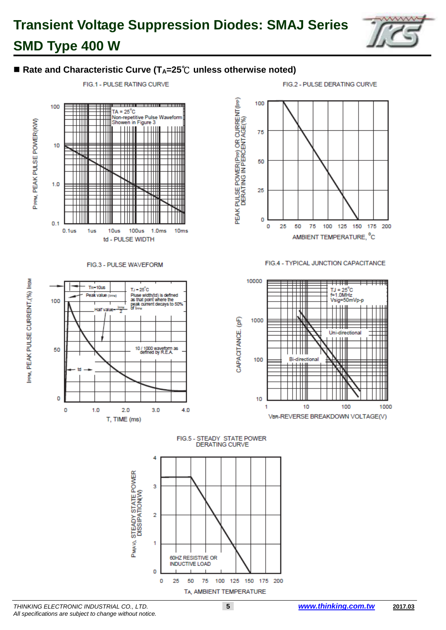

### ■ Rate and Characteristic Curve (T<sub>A</sub>=25<sup>°</sup>C unless otherwise noted)



#### FIG.3 - PULSE WAVEFORM





#### FIG.4 - TYPICAL JUNCTION CAPACITANCE



FIG.5 - STEADY STATE POWER **DERATING CURVE** 



IPPM, PEAK PULSE CURRENT.(%) IRSM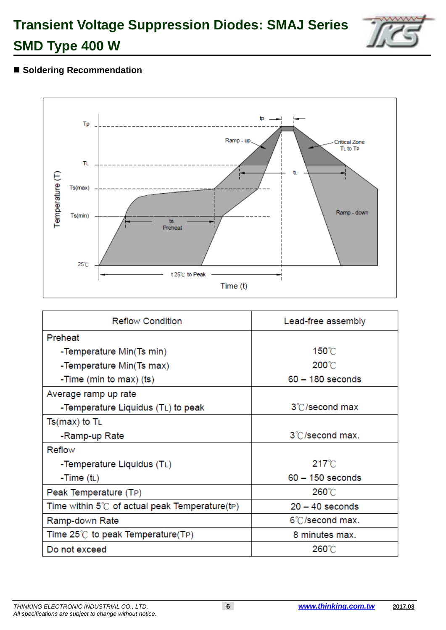

# ■ Soldering Recommendation



| <b>Reflow Condition</b>                                | Lead-free assembly |  |  |
|--------------------------------------------------------|--------------------|--|--|
| Preheat                                                |                    |  |  |
| -Temperature Min(Ts min)                               | 150°C              |  |  |
| -Temperature Min(Ts max)                               | $200^{\circ}$ C    |  |  |
| -Time (min to max) (ts)                                | $60 - 180$ seconds |  |  |
| Average ramp up rate                                   |                    |  |  |
| -Temperature Liquidus (TL) to peak                     | 3°C/second max     |  |  |
| $Ts(max)$ to $T_L$                                     |                    |  |  |
| -Ramp-up Rate                                          | 3°C/second max.    |  |  |
| Reflow                                                 |                    |  |  |
| -Temperature Liquidus (TL)                             | $217^{\circ}$ C    |  |  |
| -Time $(t_L)$                                          | $60 - 150$ seconds |  |  |
| Peak Temperature (TP)                                  | 260°C              |  |  |
| Time within $5^{\circ}$ of actual peak Temperature(tp) | $20 - 40$ seconds  |  |  |
| Ramp-down Rate                                         | 6°C/second max.    |  |  |
| Time 25℃ to peak Temperature(TP)                       | 8 minutes max.     |  |  |
| Do not exceed                                          | 260°C              |  |  |